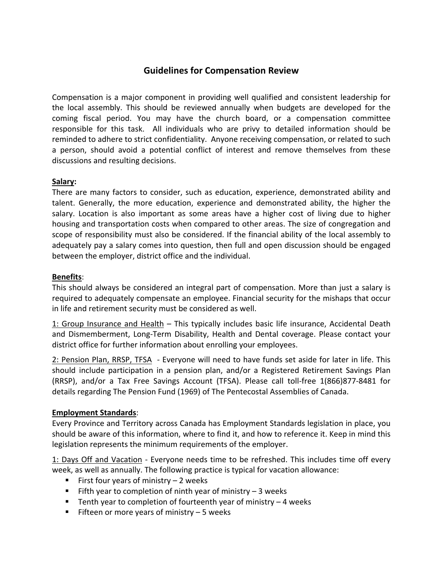# **Guidelines for Compensation Review**

Compensation is a major component in providing well qualified and consistent leadership for the local assembly. This should be reviewed annually when budgets are developed for the coming fiscal period. You may have the church board, or a compensation committee responsible for this task. All individuals who are privy to detailed information should be reminded to adhere to strict confidentiality. Anyone receiving compensation, or related to such a person, should avoid a potential conflict of interest and remove themselves from these discussions and resulting decisions.

## **Salary:**

There are many factors to consider, such as education, experience, demonstrated ability and talent. Generally, the more education, experience and demonstrated ability, the higher the salary. Location is also important as some areas have a higher cost of living due to higher housing and transportation costs when compared to other areas. The size of congregation and scope of responsibility must also be considered. If the financial ability of the local assembly to adequately pay a salary comes into question, then full and open discussion should be engaged between the employer, district office and the individual.

### **Benefits**:

This should always be considered an integral part of compensation. More than just a salary is required to adequately compensate an employee. Financial security for the mishaps that occur in life and retirement security must be considered as well.

1: Group Insurance and Health - This typically includes basic life insurance, Accidental Death and Dismemberment, Long‐Term Disability, Health and Dental coverage. Please contact your district office for further information about enrolling your employees.

2: Pension Plan, RRSP, TFSA ‐ Everyone will need to have funds set aside for later in life. This should include participation in a pension plan, and/or a Registered Retirement Savings Plan (RRSP), and/or a Tax Free Savings Account (TFSA). Please call toll‐free 1(866)877‐8481 for details regarding The Pension Fund (1969) of The Pentecostal Assemblies of Canada.

### **Employment Standards**:

Every Province and Territory across Canada has Employment Standards legislation in place, you should be aware of this information, where to find it, and how to reference it. Keep in mind this legislation represents the minimum requirements of the employer.

1: Days Off and Vacation ‐ Everyone needs time to be refreshed. This includes time off every week, as well as annually. The following practice is typical for vacation allowance:

- First four years of ministry  $-2$  weeks
- Fifth year to completion of ninth year of ministry  $-3$  weeks
- Tenth year to completion of fourteenth year of ministry  $-4$  weeks
- Fifteen or more years of ministry  $-5$  weeks